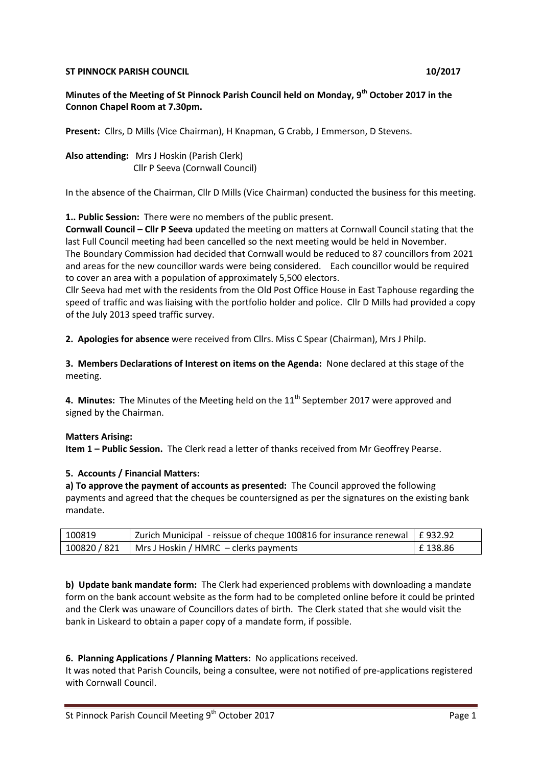### **ST PINNOCK PARISH COUNCIL 10/2017**

**Minutes of the Meeting of St Pinnock Parish Council held on Monday, 9th October 2017 in the Connon Chapel Room at 7.30pm.** 

**Present:** Cllrs, D Mills (Vice Chairman), H Knapman, G Crabb, J Emmerson, D Stevens.

**Also attending:** Mrs J Hoskin (Parish Clerk) Cllr P Seeva (Cornwall Council)

In the absence of the Chairman, Cllr D Mills (Vice Chairman) conducted the business for this meeting.

**1.. Public Session:** There were no members of the public present.

**Cornwall Council – Cllr P Seeva** updated the meeting on matters at Cornwall Council stating that the last Full Council meeting had been cancelled so the next meeting would be held in November. The Boundary Commission had decided that Cornwall would be reduced to 87 councillors from 2021 and areas for the new councillor wards were being considered. Each councillor would be required to cover an area with a population of approximately 5,500 electors.

Cllr Seeva had met with the residents from the Old Post Office House in East Taphouse regarding the speed of traffic and was liaising with the portfolio holder and police. Cllr D Mills had provided a copy of the July 2013 speed traffic survey.

**2. Apologies for absence** were received from Cllrs. Miss C Spear (Chairman), Mrs J Philp.

**3. Members Declarations of Interest on items on the Agenda:** None declared at this stage of the meeting.

**4. Minutes:** The Minutes of the Meeting held on the 11<sup>th</sup> September 2017 were approved and signed by the Chairman.

#### **Matters Arising:**

**Item 1 – Public Session.** The Clerk read a letter of thanks received from Mr Geoffrey Pearse.

#### **5. Accounts / Financial Matters:**

**a) To approve the payment of accounts as presented:** The Council approved the following payments and agreed that the cheques be countersigned as per the signatures on the existing bank mandate.

| 100819 | Zurich Municipal - reissue of cheque 100816 for insurance renewal $\pm$ 932.92 |            |
|--------|--------------------------------------------------------------------------------|------------|
|        | $100820 / 821$   Mrs J Hoskin / HMRC – clerks payments                         | l £ 138.86 |

**b) Update bank mandate form:** The Clerk had experienced problems with downloading a mandate form on the bank account website as the form had to be completed online before it could be printed and the Clerk was unaware of Councillors dates of birth. The Clerk stated that she would visit the bank in Liskeard to obtain a paper copy of a mandate form, if possible.

#### **6. Planning Applications / Planning Matters:** No applications received.

It was noted that Parish Councils, being a consultee, were not notified of pre-applications registered with Cornwall Council.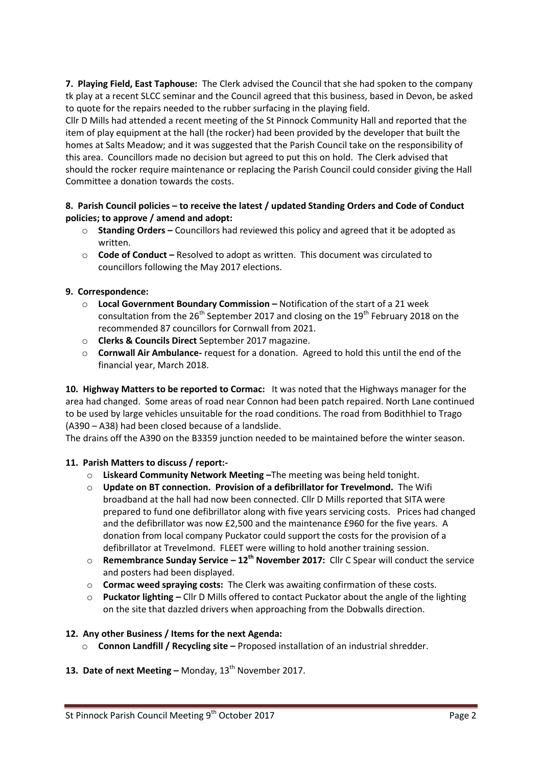**7. Playing Field, East Taphouse:** The Clerk advised the Council that she had spoken to the company tk play at a recent SLCC seminar and the Council agreed that this business, based in Devon, be asked to quote for the repairs needed to the rubber surfacing in the playing field.

Cllr D Mills had attended a recent meeting of the St Pinnock Community Hall and reported that the item of play equipment at the hall (the rocker) had been provided by the developer that built the homes at Salts Meadow; and it was suggested that the Parish Council take on the responsibility of this area. Councillors made no decision but agreed to put this on hold. The Clerk advised that should the rocker require maintenance or replacing the Parish Council could consider giving the Hall Committee a donation towards the costs.

### **8. Parish Council policies – to receive the latest / updated Standing Orders and Code of Conduct policies; to approve / amend and adopt:**

- o **Standing Orders –** Councillors had reviewed this policy and agreed that it be adopted as written.
- o **Code of Conduct –** Resolved to adopt as written. This document was circulated to councillors following the May 2017 elections.

## **9. Correspondence:**

- o **Local Government Boundary Commission –** Notification of the start of a 21 week consultation from the  $26<sup>th</sup>$  September 2017 and closing on the 19<sup>th</sup> February 2018 on the recommended 87 councillors for Cornwall from 2021.
- o **Clerks & Councils Direct** September 2017 magazine.
- o **Cornwall Air Ambulance-** request for a donation. Agreed to hold this until the end of the financial year, March 2018.

**10. Highway Matters to be reported to Cormac:** It was noted that the Highways manager for the area had changed. Some areas of road near Connon had been patch repaired. North Lane continued to be used by large vehicles unsuitable for the road conditions. The road from Bodithhiel to Trago (A390 – A38) had been closed because of a landslide.

The drains off the A390 on the B3359 junction needed to be maintained before the winter season.

### **11. Parish Matters to discuss / report:-**

- o **Liskeard Community Network Meeting –**The meeting was being held tonight.
- o **Update on BT connection. Provision of a defibrillator for Trevelmond.** The Wifi broadband at the hall had now been connected. Cllr D Mills reported that SITA were prepared to fund one defibrillator along with five years servicing costs. Prices had changed and the defibrillator was now £2,500 and the maintenance £960 for the five years. A donation from local company Puckator could support the costs for the provision of a defibrillator at Trevelmond. FLEET were willing to hold another training session.
- o **Remembrance Sunday Service – 12th November 2017:** Cllr C Spear will conduct the service and posters had been displayed.
- o **Cormac weed spraying costs:** The Clerk was awaiting confirmation of these costs.
- o **Puckator lighting –** Cllr D Mills offered to contact Puckator about the angle of the lighting on the site that dazzled drivers when approaching from the Dobwalls direction.

### **12. Any other Business / Items for the next Agenda:**

o **Connon Landfill / Recycling site –** Proposed installation of an industrial shredder.

# 13. Date of next Meeting - Monday, 13<sup>th</sup> November 2017.